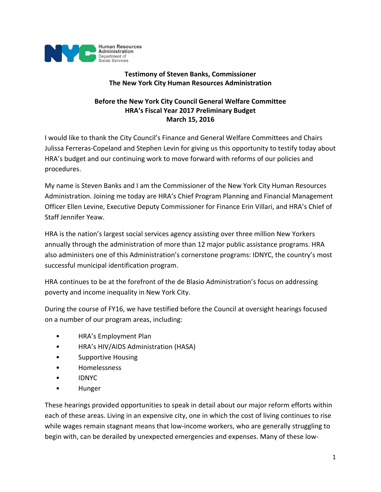

# **Testimony of Steven Banks, Commissioner The New York City Human Resources Administration**

## **Before the New York City Council General Welfare Committee HRA's Fiscal Year 2017 Preliminary Budget March 15, 2016**

I would like to thank the City Council's Finance and General Welfare Committees and Chairs Julissa Ferreras‐Copeland and Stephen Levin for giving us this opportunity to testify today about HRA's budget and our continuing work to move forward with reforms of our policies and procedures.

My name is Steven Banks and I am the Commissioner of the New York City Human Resources Administration. Joining me today are HRA's Chief Program Planning and Financial Management Officer Ellen Levine, Executive Deputy Commissioner for Finance Erin Villari, and HRA's Chief of Staff Jennifer Yeaw.

HRA is the nation's largest social services agency assisting over three million New Yorkers annually through the administration of more than 12 major public assistance programs. HRA also administers one of this Administration's cornerstone programs: IDNYC, the country's most successful municipal identification program.

HRA continues to be at the forefront of the de Blasio Administration's focus on addressing poverty and income inequality in New York City.

During the course of FY16, we have testified before the Council at oversight hearings focused on a number of our program areas, including:

- HRA's Employment Plan
- HRA's HIV/AIDS Administration (HASA)
- Supportive Housing
- Homelessness
- IDNYC
- Hunger

These hearings provided opportunities to speak in detail about our major reform efforts within each of these areas. Living in an expensive city, one in which the cost of living continues to rise while wages remain stagnant means that low-income workers, who are generally struggling to begin with, can be derailed by unexpected emergencies and expenses. Many of these low‐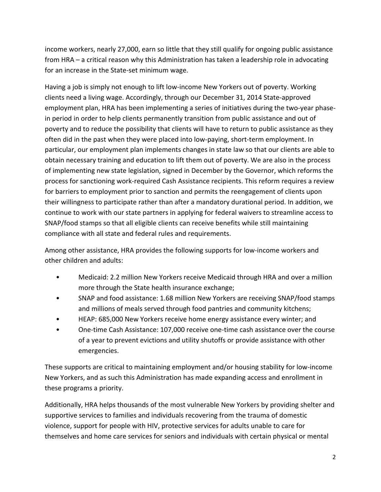income workers, nearly 27,000, earn so little that they still qualify for ongoing public assistance from HRA – a critical reason why this Administration has taken a leadership role in advocating for an increase in the State‐set minimum wage.

Having a job is simply not enough to lift low‐income New Yorkers out of poverty. Working clients need a living wage. Accordingly, through our December 31, 2014 State‐approved employment plan, HRA has been implementing a series of initiatives during the two-year phasein period in order to help clients permanently transition from public assistance and out of poverty and to reduce the possibility that clients will have to return to public assistance as they often did in the past when they were placed into low‐paying, short‐term employment. In particular, our employment plan implements changes in state law so that our clients are able to obtain necessary training and education to lift them out of poverty. We are also in the process of implementing new state legislation, signed in December by the Governor, which reforms the process for sanctioning work‐required Cash Assistance recipients. This reform requires a review for barriers to employment prior to sanction and permits the reengagement of clients upon their willingness to participate rather than after a mandatory durational period. In addition, we continue to work with our state partners in applying for federal waivers to streamline access to SNAP/food stamps so that all eligible clients can receive benefits while still maintaining compliance with all state and federal rules and requirements.

Among other assistance, HRA provides the following supports for low‐income workers and other children and adults:

- Medicaid: 2.2 million New Yorkers receive Medicaid through HRA and over a million more through the State health insurance exchange;
- SNAP and food assistance: 1.68 million New Yorkers are receiving SNAP/food stamps and millions of meals served through food pantries and community kitchens;
- HEAP: 685,000 New Yorkers receive home energy assistance every winter; and
- One‐time Cash Assistance: 107,000 receive one‐time cash assistance over the course of a year to prevent evictions and utility shutoffs or provide assistance with other emergencies.

These supports are critical to maintaining employment and/or housing stability for low‐income New Yorkers, and as such this Administration has made expanding access and enrollment in these programs a priority.

Additionally, HRA helps thousands of the most vulnerable New Yorkers by providing shelter and supportive services to families and individuals recovering from the trauma of domestic violence, support for people with HIV, protective services for adults unable to care for themselves and home care services for seniors and individuals with certain physical or mental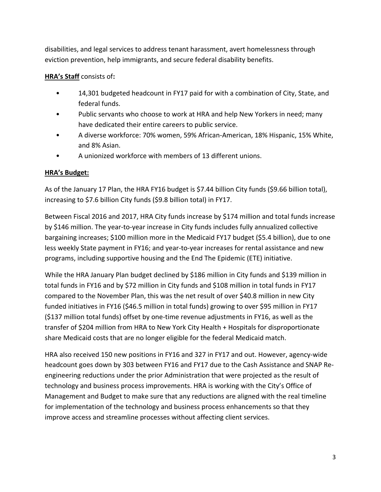disabilities, and legal services to address tenant harassment, avert homelessness through eviction prevention, help immigrants, and secure federal disability benefits.

## **HRA's Staff** consists of**:**

- 14,301 budgeted headcount in FY17 paid for with a combination of City, State, and federal funds.
- Public servants who choose to work at HRA and help New Yorkers in need; many have dedicated their entire careers to public service.
- A diverse workforce: 70% women, 59% African-American, 18% Hispanic, 15% White, and 8% Asian.
- A unionized workforce with members of 13 different unions.

### **HRA's Budget:**

As of the January 17 Plan, the HRA FY16 budget is \$7.44 billion City funds (\$9.66 billion total), increasing to \$7.6 billion City funds (\$9.8 billion total) in FY17.

Between Fiscal 2016 and 2017, HRA City funds increase by \$174 million and total funds increase by \$146 million. The year‐to‐year increase in City funds includes fully annualized collective bargaining increases; \$100 million more in the Medicaid FY17 budget (\$5.4 billion), due to one less weekly State payment in FY16; and year-to-year increases for rental assistance and new programs, including supportive housing and the End The Epidemic (ETE) initiative.

While the HRA January Plan budget declined by \$186 million in City funds and \$139 million in total funds in FY16 and by \$72 million in City funds and \$108 million in total funds in FY17 compared to the November Plan, this was the net result of over \$40.8 million in new City funded initiatives in FY16 (\$46.5 million in total funds) growing to over \$95 million in FY17 (\$137 million total funds) offset by one‐time revenue adjustments in FY16, as well as the transfer of \$204 million from HRA to New York City Health + Hospitals for disproportionate share Medicaid costs that are no longer eligible for the federal Medicaid match.

HRA also received 150 new positions in FY16 and 327 in FY17 and out. However, agency-wide headcount goes down by 303 between FY16 and FY17 due to the Cash Assistance and SNAP Re‐ engineering reductions under the prior Administration that were projected as the result of technology and business process improvements. HRA is working with the City's Office of Management and Budget to make sure that any reductions are aligned with the real timeline for implementation of the technology and business process enhancements so that they improve access and streamline processes without affecting client services.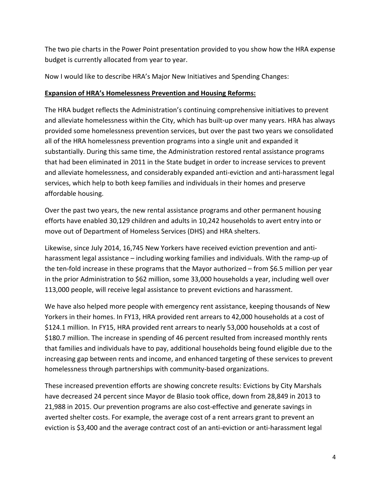The two pie charts in the Power Point presentation provided to you show how the HRA expense budget is currently allocated from year to year.

Now I would like to describe HRA's Major New Initiatives and Spending Changes:

#### **Expansion of HRA's Homelessness Prevention and Housing Reforms:**

The HRA budget reflects the Administration's continuing comprehensive initiatives to prevent and alleviate homelessness within the City, which has built‐up over many years. HRA has always provided some homelessness prevention services, but over the past two years we consolidated all of the HRA homelessness prevention programs into a single unit and expanded it substantially. During this same time, the Administration restored rental assistance programs that had been eliminated in 2011 in the State budget in order to increase services to prevent and alleviate homelessness, and considerably expanded anti‐eviction and anti‐harassment legal services, which help to both keep families and individuals in their homes and preserve affordable housing.

Over the past two years, the new rental assistance programs and other permanent housing efforts have enabled 30,129 children and adults in 10,242 households to avert entry into or move out of Department of Homeless Services (DHS) and HRA shelters.

Likewise, since July 2014, 16,745 New Yorkers have received eviction prevention and anti‐ harassment legal assistance – including working families and individuals. With the ramp-up of the ten‐fold increase in these programs that the Mayor authorized – from \$6.5 million per year in the prior Administration to \$62 million, some 33,000 households a year, including well over 113,000 people, will receive legal assistance to prevent evictions and harassment.

We have also helped more people with emergency rent assistance, keeping thousands of New Yorkers in their homes. In FY13, HRA provided rent arrears to 42,000 households at a cost of \$124.1 million. In FY15, HRA provided rent arrears to nearly 53,000 households at a cost of \$180.7 million. The increase in spending of 46 percent resulted from increased monthly rents that families and individuals have to pay, additional households being found eligible due to the increasing gap between rents and income, and enhanced targeting of these services to prevent homelessness through partnerships with community‐based organizations.

These increased prevention efforts are showing concrete results: Evictions by City Marshals have decreased 24 percent since Mayor de Blasio took office, down from 28,849 in 2013 to 21,988 in 2015. Our prevention programs are also cost-effective and generate savings in averted shelter costs. For example, the average cost of a rent arrears grant to prevent an eviction is \$3,400 and the average contract cost of an anti‐eviction or anti‐harassment legal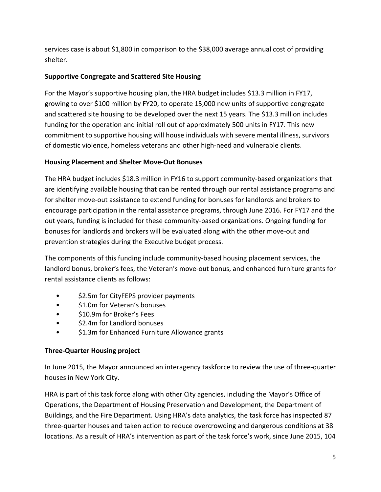services case is about \$1,800 in comparison to the \$38,000 average annual cost of providing shelter.

# **Supportive Congregate and Scattered Site Housing**

For the Mayor's supportive housing plan, the HRA budget includes \$13.3 million in FY17, growing to over \$100 million by FY20, to operate 15,000 new units of supportive congregate and scattered site housing to be developed over the next 15 years. The \$13.3 million includes funding for the operation and initial roll out of approximately 500 units in FY17. This new commitment to supportive housing will house individuals with severe mental illness, survivors of domestic violence, homeless veterans and other high‐need and vulnerable clients.

### **Housing Placement and Shelter Move‐Out Bonuses**

The HRA budget includes \$18.3 million in FY16 to support community‐based organizations that are identifying available housing that can be rented through our rental assistance programs and for shelter move-out assistance to extend funding for bonuses for landlords and brokers to encourage participation in the rental assistance programs, through June 2016. For FY17 and the out years, funding is included for these community‐based organizations. Ongoing funding for bonuses for landlords and brokers will be evaluated along with the other move‐out and prevention strategies during the Executive budget process.

The components of this funding include community‐based housing placement services, the landlord bonus, broker's fees, the Veteran's move‐out bonus, and enhanced furniture grants for rental assistance clients as follows:

- \$2.5m for CityFEPS provider payments
- \$1.0m for Veteran's bonuses
- \$10.9m for Broker's Fees
- \$2.4m for Landlord bonuses
- \$1.3m for Enhanced Furniture Allowance grants

#### **Three‐Quarter Housing project**

In June 2015, the Mayor announced an interagency taskforce to review the use of three‐quarter houses in New York City.

HRA is part of this task force along with other City agencies, including the Mayor's Office of Operations, the Department of Housing Preservation and Development, the Department of Buildings, and the Fire Department. Using HRA's data analytics, the task force has inspected 87 three‐quarter houses and taken action to reduce overcrowding and dangerous conditions at 38 locations. As a result of HRA's intervention as part of the task force's work, since June 2015, 104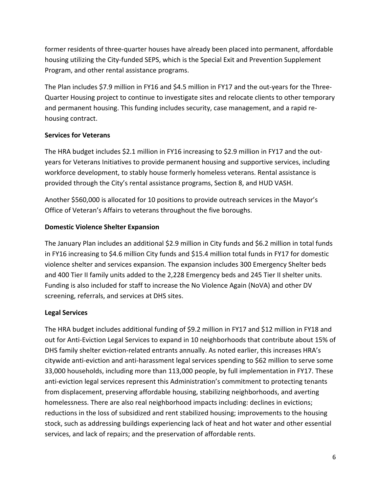former residents of three-quarter houses have already been placed into permanent, affordable housing utilizing the City‐funded SEPS, which is the Special Exit and Prevention Supplement Program, and other rental assistance programs.

The Plan includes \$7.9 million in FY16 and \$4.5 million in FY17 and the out‐years for the Three‐ Quarter Housing project to continue to investigate sites and relocate clients to other temporary and permanent housing. This funding includes security, case management, and a rapid re‐ housing contract.

### **Services for Veterans**

The HRA budget includes \$2.1 million in FY16 increasing to \$2.9 million in FY17 and the out‐ years for Veterans Initiatives to provide permanent housing and supportive services, including workforce development, to stably house formerly homeless veterans. Rental assistance is provided through the City's rental assistance programs, Section 8, and HUD VASH.

Another \$560,000 is allocated for 10 positions to provide outreach services in the Mayor's Office of Veteran's Affairs to veterans throughout the five boroughs.

# **Domestic Violence Shelter Expansion**

The January Plan includes an additional \$2.9 million in City funds and \$6.2 million in total funds in FY16 increasing to \$4.6 million City funds and \$15.4 million total funds in FY17 for domestic violence shelter and services expansion. The expansion includes 300 Emergency Shelter beds and 400 Tier II family units added to the 2,228 Emergency beds and 245 Tier II shelter units. Funding is also included for staff to increase the No Violence Again (NoVA) and other DV screening, referrals, and services at DHS sites.

# **Legal Services**

The HRA budget includes additional funding of \$9.2 million in FY17 and \$12 million in FY18 and out for Anti‐Eviction Legal Services to expand in 10 neighborhoods that contribute about 15% of DHS family shelter eviction‐related entrants annually. As noted earlier, this increases HRA's citywide anti‐eviction and anti‐harassment legal services spending to \$62 million to serve some 33,000 households, including more than 113,000 people, by full implementation in FY17. These anti-eviction legal services represent this Administration's commitment to protecting tenants from displacement, preserving affordable housing, stabilizing neighborhoods, and averting homelessness. There are also real neighborhood impacts including: declines in evictions; reductions in the loss of subsidized and rent stabilized housing; improvements to the housing stock, such as addressing buildings experiencing lack of heat and hot water and other essential services, and lack of repairs; and the preservation of affordable rents.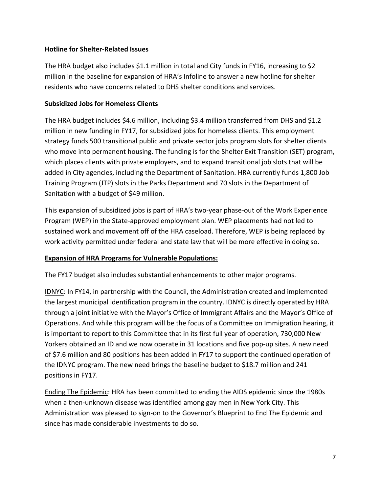#### **Hotline for Shelter‐Related Issues**

The HRA budget also includes \$1.1 million in total and City funds in FY16, increasing to \$2 million in the baseline for expansion of HRA's Infoline to answer a new hotline for shelter residents who have concerns related to DHS shelter conditions and services.

### **Subsidized Jobs for Homeless Clients**

The HRA budget includes \$4.6 million, including \$3.4 million transferred from DHS and \$1.2 million in new funding in FY17, for subsidized jobs for homeless clients. This employment strategy funds 500 transitional public and private sector jobs program slots for shelter clients who move into permanent housing. The funding is for the Shelter Exit Transition (SET) program, which places clients with private employers, and to expand transitional job slots that will be added in City agencies, including the Department of Sanitation. HRA currently funds 1,800 Job Training Program (JTP) slots in the Parks Department and 70 slots in the Department of Sanitation with a budget of \$49 million.

This expansion of subsidized jobs is part of HRA's two-year phase-out of the Work Experience Program (WEP) in the State‐approved employment plan. WEP placements had not led to sustained work and movement off of the HRA caseload. Therefore, WEP is being replaced by work activity permitted under federal and state law that will be more effective in doing so.

#### **Expansion of HRA Programs for Vulnerable Populations:**

The FY17 budget also includes substantial enhancements to other major programs.

IDNYC: In FY14, in partnership with the Council, the Administration created and implemented the largest municipal identification program in the country. IDNYC is directly operated by HRA through a joint initiative with the Mayor's Office of Immigrant Affairs and the Mayor's Office of Operations. And while this program will be the focus of a Committee on Immigration hearing, it is important to report to this Committee that in its first full year of operation, 730,000 New Yorkers obtained an ID and we now operate in 31 locations and five pop‐up sites. A new need of \$7.6 million and 80 positions has been added in FY17 to support the continued operation of the IDNYC program. The new need brings the baseline budget to \$18.7 million and 241 positions in FY17.

Ending The Epidemic: HRA has been committed to ending the AIDS epidemic since the 1980s when a then-unknown disease was identified among gay men in New York City. This Administration was pleased to sign‐on to the Governor's Blueprint to End The Epidemic and since has made considerable investments to do so.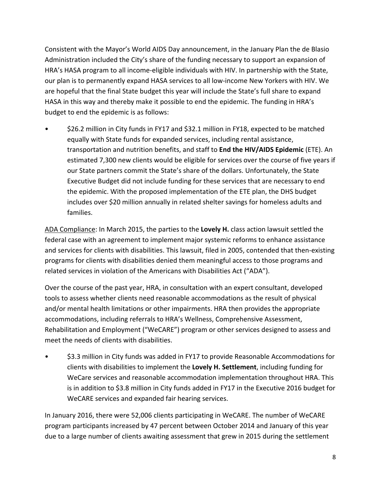Consistent with the Mayor's World AIDS Day announcement, in the January Plan the de Blasio Administration included the City's share of the funding necessary to support an expansion of HRA's HASA program to all income‐eligible individuals with HIV. In partnership with the State, our plan is to permanently expand HASA services to all low‐income New Yorkers with HIV. We are hopeful that the final State budget this year will include the State's full share to expand HASA in this way and thereby make it possible to end the epidemic. The funding in HRA's budget to end the epidemic is as follows:

• \$26.2 million in City funds in FY17 and \$32.1 million in FY18, expected to be matched equally with State funds for expanded services, including rental assistance, transportation and nutrition benefits, and staff to **End the HIV/AIDS Epidemic** (ETE). An estimated 7,300 new clients would be eligible for services over the course of five years if our State partners commit the State's share of the dollars. Unfortunately, the State Executive Budget did not include funding for these services that are necessary to end the epidemic. With the proposed implementation of the ETE plan, the DHS budget includes over \$20 million annually in related shelter savings for homeless adults and families.

ADA Compliance: In March 2015, the parties to the **Lovely H.** class action lawsuit settled the federal case with an agreement to implement major systemic reforms to enhance assistance and services for clients with disabilities. This lawsuit, filed in 2005, contended that then‐existing programs for clients with disabilities denied them meaningful access to those programs and related services in violation of the Americans with Disabilities Act ("ADA").

Over the course of the past year, HRA, in consultation with an expert consultant, developed tools to assess whether clients need reasonable accommodations as the result of physical and/or mental health limitations or other impairments. HRA then provides the appropriate accommodations, including referrals to HRA's Wellness, Comprehensive Assessment, Rehabilitation and Employment ("WeCARE") program or other services designed to assess and meet the needs of clients with disabilities.

• \$3.3 million in City funds was added in FY17 to provide Reasonable Accommodations for clients with disabilities to implement the **Lovely H. Settlement**, including funding for WeCare services and reasonable accommodation implementation throughout HRA. This is in addition to \$3.8 million in City funds added in FY17 in the Executive 2016 budget for WeCARE services and expanded fair hearing services.

In January 2016, there were 52,006 clients participating in WeCARE. The number of WeCARE program participants increased by 47 percent between October 2014 and January of this year due to a large number of clients awaiting assessment that grew in 2015 during the settlement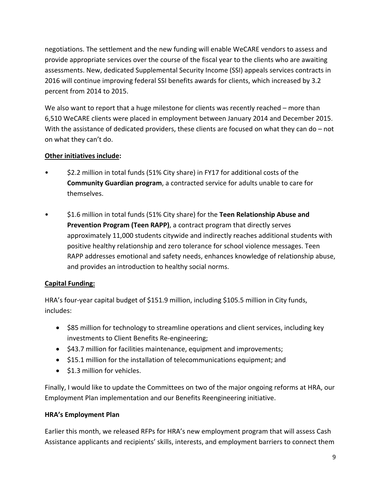negotiations. The settlement and the new funding will enable WeCARE vendors to assess and provide appropriate services over the course of the fiscal year to the clients who are awaiting assessments. New, dedicated Supplemental Security Income (SSI) appeals services contracts in 2016 will continue improving federal SSI benefits awards for clients, which increased by 3.2 percent from 2014 to 2015.

We also want to report that a huge milestone for clients was recently reached – more than 6,510 WeCARE clients were placed in employment between January 2014 and December 2015. With the assistance of dedicated providers, these clients are focused on what they can do – not on what they can't do.

# **Other initiatives include:**

- \$2.2 million in total funds (51% City share) in FY17 for additional costs of the **Community Guardian program**, a contracted service for adults unable to care for themselves.
- \$1.6 million in total funds (51% City share) for the **Teen Relationship Abuse and Prevention Program (Teen RAPP)**, a contract program that directly serves approximately 11,000 students citywide and indirectly reaches additional students with positive healthy relationship and zero tolerance for school violence messages. Teen RAPP addresses emotional and safety needs, enhances knowledge of relationship abuse, and provides an introduction to healthy social norms.

#### **Capital Funding:**

HRA's four-year capital budget of \$151.9 million, including \$105.5 million in City funds, includes:

- \$85 million for technology to streamline operations and client services, including key investments to Client Benefits Re-engineering;
- \$43.7 million for facilities maintenance, equipment and improvements;
- \$15.1 million for the installation of telecommunications equipment; and
- $\bullet$  \$1.3 million for vehicles.

Finally, I would like to update the Committees on two of the major ongoing reforms at HRA, our Employment Plan implementation and our Benefits Reengineering initiative.

#### **HRA's Employment Plan**

Earlier this month, we released RFPs for HRA's new employment program that will assess Cash Assistance applicants and recipients' skills, interests, and employment barriers to connect them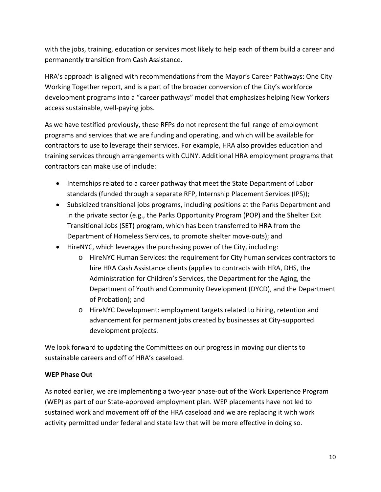with the jobs, training, education or services most likely to help each of them build a career and permanently transition from Cash Assistance.

HRA's approach is aligned with recommendations from the Mayor's Career Pathways: One City Working Together report, and is a part of the broader conversion of the City's workforce development programs into a "career pathways" model that emphasizes helping New Yorkers access sustainable, well‐paying jobs.

As we have testified previously, these RFPs do not represent the full range of employment programs and services that we are funding and operating, and which will be available for contractors to use to leverage their services. For example, HRA also provides education and training services through arrangements with CUNY. Additional HRA employment programs that contractors can make use of include:

- Internships related to a career pathway that meet the State Department of Labor standards (funded through a separate RFP, Internship Placement Services (IPS));
- Subsidized transitional jobs programs, including positions at the Parks Department and in the private sector (e.g., the Parks Opportunity Program (POP) and the Shelter Exit Transitional Jobs (SET) program, which has been transferred to HRA from the Department of Homeless Services, to promote shelter move‐outs); and
- HireNYC, which leverages the purchasing power of the City, including:
	- o HireNYC Human Services: the requirement for City human services contractors to hire HRA Cash Assistance clients (applies to contracts with HRA, DHS, the Administration for Children's Services, the Department for the Aging, the Department of Youth and Community Development (DYCD), and the Department of Probation); and
	- o HireNYC Development: employment targets related to hiring, retention and advancement for permanent jobs created by businesses at City‐supported development projects.

We look forward to updating the Committees on our progress in moving our clients to sustainable careers and off of HRA's caseload.

#### **WEP Phase Out**

As noted earlier, we are implementing a two-year phase-out of the Work Experience Program (WEP) as part of our State‐approved employment plan. WEP placements have not led to sustained work and movement off of the HRA caseload and we are replacing it with work activity permitted under federal and state law that will be more effective in doing so.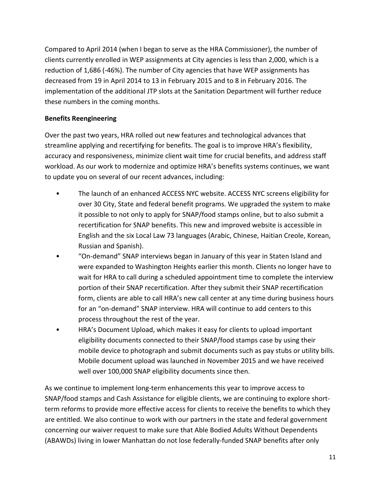Compared to April 2014 (when I began to serve as the HRA Commissioner), the number of clients currently enrolled in WEP assignments at City agencies is less than 2,000, which is a reduction of 1,686 (‐46%). The number of City agencies that have WEP assignments has decreased from 19 in April 2014 to 13 in February 2015 and to 8 in February 2016. The implementation of the additional JTP slots at the Sanitation Department will further reduce these numbers in the coming months.

### **Benefits Reengineering**

Over the past two years, HRA rolled out new features and technological advances that streamline applying and recertifying for benefits. The goal is to improve HRA's flexibility, accuracy and responsiveness, minimize client wait time for crucial benefits, and address staff workload. As our work to modernize and optimize HRA's benefits systems continues, we want to update you on several of our recent advances, including:

- The launch of an enhanced ACCESS NYC website. ACCESS NYC screens eligibility for over 30 City, State and federal benefit programs. We upgraded the system to make it possible to not only to apply for SNAP/food stamps online, but to also submit a recertification for SNAP benefits. This new and improved website is accessible in English and the six Local Law 73 languages (Arabic, Chinese, Haitian Creole, Korean, Russian and Spanish).
- "On‐demand" SNAP interviews began in January of this year in Staten Island and were expanded to Washington Heights earlier this month. Clients no longer have to wait for HRA to call during a scheduled appointment time to complete the interview portion of their SNAP recertification. After they submit their SNAP recertification form, clients are able to call HRA's new call center at any time during business hours for an "on-demand" SNAP interview. HRA will continue to add centers to this process throughout the rest of the year.
- HRA's Document Upload, which makes it easy for clients to upload important eligibility documents connected to their SNAP/food stamps case by using their mobile device to photograph and submit documents such as pay stubs or utility bills. Mobile document upload was launched in November 2015 and we have received well over 100,000 SNAP eligibility documents since then.

As we continue to implement long‐term enhancements this year to improve access to SNAP/food stamps and Cash Assistance for eligible clients, we are continuing to explore short‐ term reforms to provide more effective access for clients to receive the benefits to which they are entitled. We also continue to work with our partners in the state and federal government concerning our waiver request to make sure that Able Bodied Adults Without Dependents (ABAWDs) living in lower Manhattan do not lose federally‐funded SNAP benefits after only